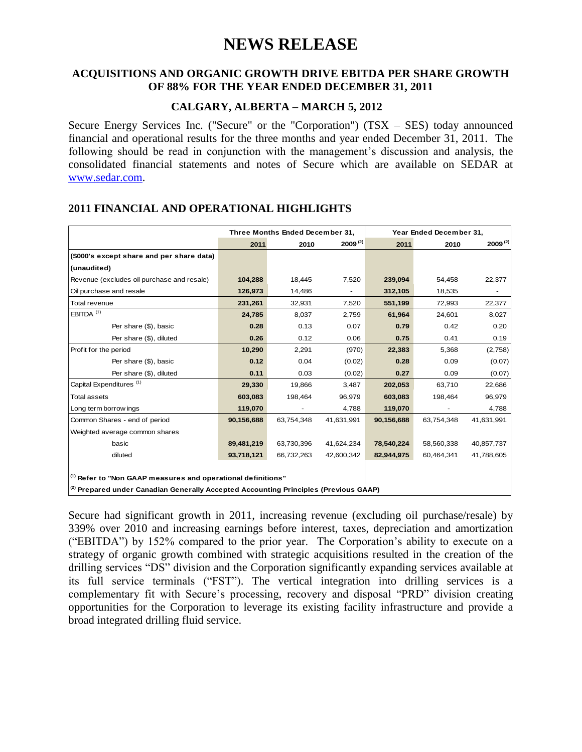# **NEWS RELEASE**

#### **ACQUISITIONS AND ORGANIC GROWTH DRIVE EBITDA PER SHARE GROWTH OF 88% FOR THE YEAR ENDED DECEMBER 31, 2011**

## **CALGARY, ALBERTA – MARCH 5, 2012**

Secure Energy Services Inc. ("Secure" or the "Corporation") (TSX – SES) today announced financial and operational results for the three months and year ended December 31, 2011. The following should be read in conjunction with the management's discussion and analysis, the consolidated financial statements and notes of Secure which are available on SEDAR at [www.sedar.com.](http://www.sedar.com/)

|                                                                                            |            | Three Months Ended December 31, |              | Year Ended December 31, |            |              |  |
|--------------------------------------------------------------------------------------------|------------|---------------------------------|--------------|-------------------------|------------|--------------|--|
|                                                                                            | 2011       | 2010                            | $2009^{(2)}$ | 2011                    | 2010       | $2009^{(2)}$ |  |
| (\$000's except share and per share data)                                                  |            |                                 |              |                         |            |              |  |
| (unaudited)                                                                                |            |                                 |              |                         |            |              |  |
| Revenue (excludes oil purchase and resale)                                                 | 104,288    | 18,445                          | 7,520        | 239,094                 | 54,458     | 22,377       |  |
| Oil purchase and resale                                                                    | 126,973    | 14,486                          |              | 312,105                 | 18,535     |              |  |
| Total revenue                                                                              | 231,261    | 32,931                          | 7,520        | 551,199                 | 72,993     | 22,377       |  |
| EBITDA $(1)$                                                                               | 24,785     | 8,037                           | 2,759        | 61,964                  | 24,601     | 8,027        |  |
| Per share (\$), basic                                                                      | 0.28       | 0.13                            | 0.07         | 0.79                    | 0.42       | 0.20         |  |
| Per share (\$), diluted                                                                    | 0.26       | 0.12                            | 0.06         | 0.75                    | 0.41       | 0.19         |  |
| Profit for the period                                                                      | 10,290     | 2,291                           | (970)        | 22,383                  | 5,368      | (2,758)      |  |
| Per share (\$), basic                                                                      | 0.12       | 0.04                            | (0.02)       | 0.28                    | 0.09       | (0.07)       |  |
| Per share (\$), diluted                                                                    | 0.11       | 0.03                            | (0.02)       | 0.27                    | 0.09       | (0.07)       |  |
| Capital Expenditures <sup>(1)</sup>                                                        | 29,330     | 19,866                          | 3,487        | 202,053                 | 63,710     | 22,686       |  |
| <b>Total assets</b>                                                                        | 603,083    | 198,464                         | 96,979       | 603,083                 | 198,464    | 96,979       |  |
| Long term borrow ings                                                                      | 119,070    |                                 | 4,788        | 119,070                 |            | 4,788        |  |
| Common Shares - end of period                                                              | 90,156,688 | 63,754,348                      | 41,631,991   | 90,156,688              | 63,754,348 | 41,631,991   |  |
| Weighted average common shares                                                             |            |                                 |              |                         |            |              |  |
| basic                                                                                      | 89,481,219 | 63,730,396                      | 41,624,234   | 78,540,224              | 58,560,338 | 40,857,737   |  |
| diluted                                                                                    | 93,718,121 | 66,732,263                      | 42,600,342   | 82,944,975              | 60,464,341 | 41,788,605   |  |
|                                                                                            |            |                                 |              |                         |            |              |  |
| $\vert$ <sup>(1)</sup> Refer to "Non GAAP measures and operational definitions"            |            |                                 |              |                         |            |              |  |
| $ ^{(2)}$ Prepared under Canadian Generally Accepted Accounting Principles (Previous GAAP) |            |                                 |              |                         |            |              |  |

## **2011 FINANCIAL AND OPERATIONAL HIGHLIGHTS**

Secure had significant growth in 2011, increasing revenue (excluding oil purchase/resale) by 339% over 2010 and increasing earnings before interest, taxes, depreciation and amortization ("EBITDA") by 152% compared to the prior year. The Corporation"s ability to execute on a strategy of organic growth combined with strategic acquisitions resulted in the creation of the drilling services "DS" division and the Corporation significantly expanding services available at its full service terminals ("FST"). The vertical integration into drilling services is a complementary fit with Secure"s processing, recovery and disposal "PRD" division creating opportunities for the Corporation to leverage its existing facility infrastructure and provide a broad integrated drilling fluid service.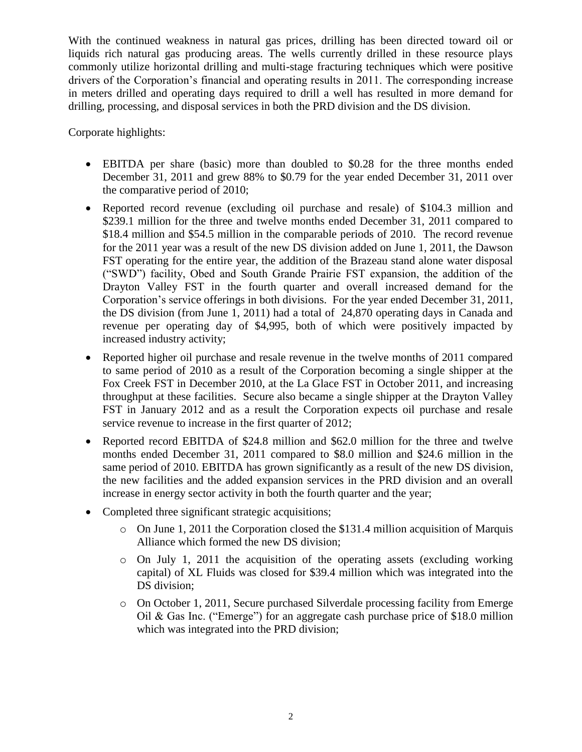With the continued weakness in natural gas prices, drilling has been directed toward oil or liquids rich natural gas producing areas. The wells currently drilled in these resource plays commonly utilize horizontal drilling and multi-stage fracturing techniques which were positive drivers of the Corporation"s financial and operating results in 2011. The corresponding increase in meters drilled and operating days required to drill a well has resulted in more demand for drilling, processing, and disposal services in both the PRD division and the DS division.

Corporate highlights:

- EBITDA per share (basic) more than doubled to \$0.28 for the three months ended December 31, 2011 and grew 88% to \$0.79 for the year ended December 31, 2011 over the comparative period of 2010;
- Reported record revenue (excluding oil purchase and resale) of \$104.3 million and \$239.1 million for the three and twelve months ended December 31, 2011 compared to \$18.4 million and \$54.5 million in the comparable periods of 2010. The record revenue for the 2011 year was a result of the new DS division added on June 1, 2011, the Dawson FST operating for the entire year, the addition of the Brazeau stand alone water disposal ("SWD") facility, Obed and South Grande Prairie FST expansion, the addition of the Drayton Valley FST in the fourth quarter and overall increased demand for the Corporation"s service offerings in both divisions. For the year ended December 31, 2011, the DS division (from June 1, 2011) had a total of 24,870 operating days in Canada and revenue per operating day of \$4,995, both of which were positively impacted by increased industry activity;
- Reported higher oil purchase and resale revenue in the twelve months of 2011 compared to same period of 2010 as a result of the Corporation becoming a single shipper at the Fox Creek FST in December 2010, at the La Glace FST in October 2011, and increasing throughput at these facilities. Secure also became a single shipper at the Drayton Valley FST in January 2012 and as a result the Corporation expects oil purchase and resale service revenue to increase in the first quarter of 2012;
- Reported record EBITDA of \$24.8 million and \$62.0 million for the three and twelve months ended December 31, 2011 compared to \$8.0 million and \$24.6 million in the same period of 2010. EBITDA has grown significantly as a result of the new DS division, the new facilities and the added expansion services in the PRD division and an overall increase in energy sector activity in both the fourth quarter and the year;
- Completed three significant strategic acquisitions;
	- o On June 1, 2011 the Corporation closed the \$131.4 million acquisition of Marquis Alliance which formed the new DS division;
	- o On July 1, 2011 the acquisition of the operating assets (excluding working capital) of XL Fluids was closed for \$39.4 million which was integrated into the DS division:
	- $\circ$  On October 1, 2011, Secure purchased Silverdale processing facility from Emerge Oil & Gas Inc. ("Emerge") for an aggregate cash purchase price of \$18.0 million which was integrated into the PRD division;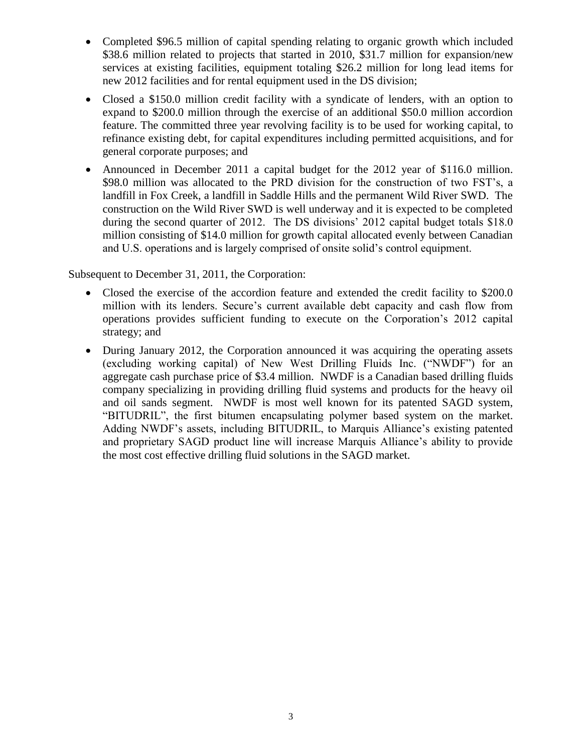- Completed \$96.5 million of capital spending relating to organic growth which included \$38.6 million related to projects that started in 2010, \$31.7 million for expansion/new services at existing facilities, equipment totaling \$26.2 million for long lead items for new 2012 facilities and for rental equipment used in the DS division;
- Closed a \$150.0 million credit facility with a syndicate of lenders, with an option to expand to \$200.0 million through the exercise of an additional \$50.0 million accordion feature. The committed three year revolving facility is to be used for working capital, to refinance existing debt, for capital expenditures including permitted acquisitions, and for general corporate purposes; and
- Announced in December 2011 a capital budget for the 2012 year of \$116.0 million. \$98.0 million was allocated to the PRD division for the construction of two FST's, a landfill in Fox Creek, a landfill in Saddle Hills and the permanent Wild River SWD. The construction on the Wild River SWD is well underway and it is expected to be completed during the second quarter of 2012. The DS divisions' 2012 capital budget totals \$18.0 million consisting of \$14.0 million for growth capital allocated evenly between Canadian and U.S. operations and is largely comprised of onsite solid"s control equipment.

Subsequent to December 31, 2011, the Corporation:

- Closed the exercise of the accordion feature and extended the credit facility to \$200.0 million with its lenders. Secure's current available debt capacity and cash flow from operations provides sufficient funding to execute on the Corporation"s 2012 capital strategy; and
- During January 2012, the Corporation announced it was acquiring the operating assets (excluding working capital) of New West Drilling Fluids Inc. ("NWDF") for an aggregate cash purchase price of \$3.4 million. NWDF is a Canadian based drilling fluids company specializing in providing drilling fluid systems and products for the heavy oil and oil sands segment. NWDF is most well known for its patented SAGD system, "BITUDRIL", the first bitumen encapsulating polymer based system on the market. Adding NWDF"s assets, including BITUDRIL, to Marquis Alliance"s existing patented and proprietary SAGD product line will increase Marquis Alliance"s ability to provide the most cost effective drilling fluid solutions in the SAGD market.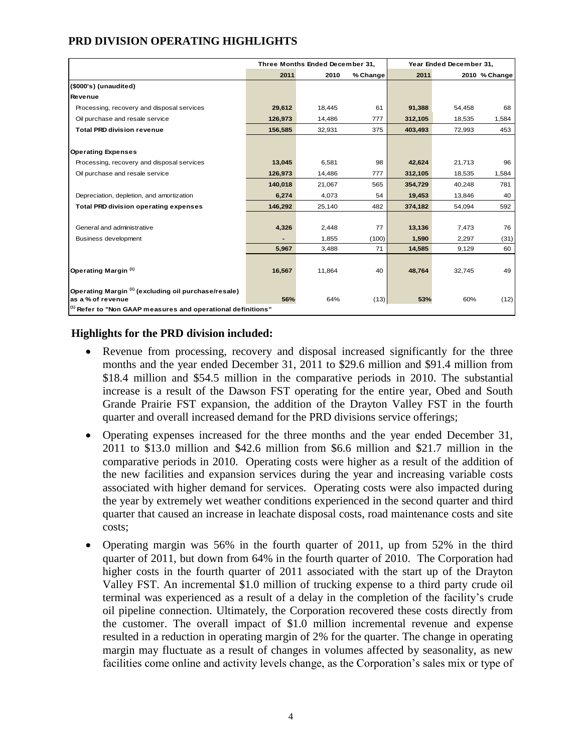# **PRD DIVISION OPERATING HIGHLIGHTS**

|                                                                                 | Three Months Ended December 31, |        |          | Year Ended December 31, |        |               |  |  |
|---------------------------------------------------------------------------------|---------------------------------|--------|----------|-------------------------|--------|---------------|--|--|
|                                                                                 | 2011                            | 2010   | % Change | 2011                    |        | 2010 % Change |  |  |
| (\$000's) (unaudited)                                                           |                                 |        |          |                         |        |               |  |  |
| Revenue                                                                         |                                 |        |          |                         |        |               |  |  |
| Processing, recovery and disposal services                                      | 29,612                          | 18,445 | 61       | 91,388                  | 54,458 | 68            |  |  |
| Oil purchase and resale service                                                 | 126,973                         | 14,486 | 777      | 312,105                 | 18,535 | 1,584         |  |  |
| <b>Total PRD division revenue</b>                                               | 156,585                         | 32,931 | 375      | 403,493                 | 72,993 | 453           |  |  |
|                                                                                 |                                 |        |          |                         |        |               |  |  |
| <b>Operating Expenses</b>                                                       |                                 |        |          |                         |        |               |  |  |
| Processing, recovery and disposal services                                      | 13,045                          | 6,581  | 98       | 42,624                  | 21,713 | 96            |  |  |
| Oil purchase and resale service                                                 | 126,973                         | 14,486 | 777      | 312,105                 | 18,535 | 1,584         |  |  |
|                                                                                 | 140,018                         | 21,067 | 565      | 354,729                 | 40,248 | 781           |  |  |
| Depreciation, depletion, and amortization                                       | 6,274                           | 4,073  | 54       | 19,453                  | 13,846 | 40            |  |  |
| <b>Total PRD division operating expenses</b>                                    | 146,292                         | 25,140 | 482      | 374,182                 | 54,094 | 592           |  |  |
|                                                                                 |                                 |        |          |                         |        |               |  |  |
| General and administrative                                                      | 4,326                           | 2,448  | 77       | 13,136                  | 7,473  | 76            |  |  |
| Business development                                                            |                                 | 1,855  | (100)    | 1,590                   | 2,297  | (31)          |  |  |
|                                                                                 | 5,967                           | 3,488  | 71       | 14,585                  | 9,129  | 60            |  |  |
|                                                                                 |                                 |        |          |                         |        |               |  |  |
| Operating Margin <sup>(1)</sup>                                                 | 16,567                          | 11,864 | 40       | 48,764                  | 32,745 | 49            |  |  |
|                                                                                 |                                 |        |          |                         |        |               |  |  |
| Operating Margin (1) (excluding oil purchase/resale)                            |                                 |        |          |                         |        |               |  |  |
| as a % of revenue                                                               | 56%                             | 64%    | (13)     | 53%                     | 60%    | (12)          |  |  |
| $\vert$ <sup>(1)</sup> Refer to "Non GAAP measures and operational definitions" |                                 |        |          |                         |        |               |  |  |

## **Highlights for the PRD division included:**

- Revenue from processing, recovery and disposal increased significantly for the three months and the year ended December 31, 2011 to \$29.6 million and \$91.4 million from \$18.4 million and \$54.5 million in the comparative periods in 2010. The substantial increase is a result of the Dawson FST operating for the entire year, Obed and South Grande Prairie FST expansion, the addition of the Drayton Valley FST in the fourth quarter and overall increased demand for the PRD divisions service offerings;
- Operating expenses increased for the three months and the year ended December 31, 2011 to \$13.0 million and \$42.6 million from \$6.6 million and \$21.7 million in the comparative periods in 2010. Operating costs were higher as a result of the addition of the new facilities and expansion services during the year and increasing variable costs associated with higher demand for services. Operating costs were also impacted during the year by extremely wet weather conditions experienced in the second quarter and third quarter that caused an increase in leachate disposal costs, road maintenance costs and site costs;
- Operating margin was 56% in the fourth quarter of 2011, up from 52% in the third quarter of 2011, but down from 64% in the fourth quarter of 2010. The Corporation had higher costs in the fourth quarter of 2011 associated with the start up of the Drayton Valley FST. An incremental \$1.0 million of trucking expense to a third party crude oil terminal was experienced as a result of a delay in the completion of the facility"s crude oil pipeline connection. Ultimately, the Corporation recovered these costs directly from the customer. The overall impact of \$1.0 million incremental revenue and expense resulted in a reduction in operating margin of 2% for the quarter. The change in operating margin may fluctuate as a result of changes in volumes affected by seasonality, as new facilities come online and activity levels change, as the Corporation's sales mix or type of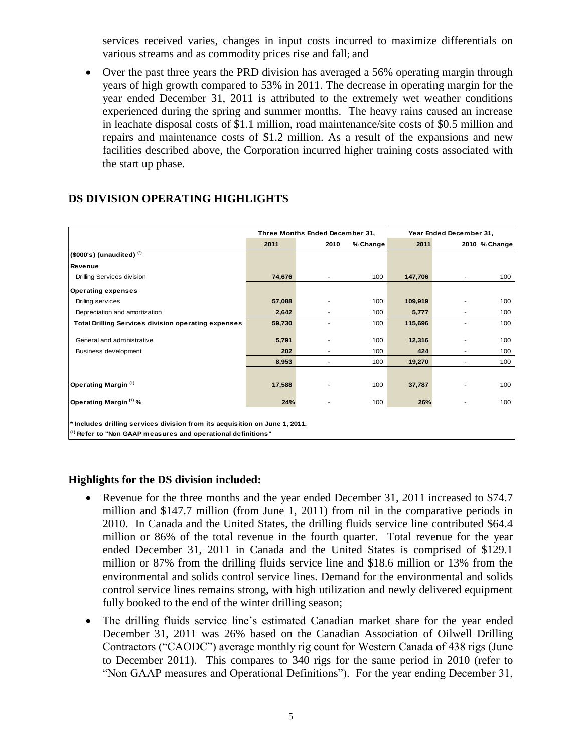services received varies, changes in input costs incurred to maximize differentials on various streams and as commodity prices rise and fall; and

 Over the past three years the PRD division has averaged a 56% operating margin through years of high growth compared to 53% in 2011. The decrease in operating margin for the year ended December 31, 2011 is attributed to the extremely wet weather conditions experienced during the spring and summer months. The heavy rains caused an increase in leachate disposal costs of \$1.1 million, road maintenance/site costs of \$0.5 million and repairs and maintenance costs of \$1.2 million. As a result of the expansions and new facilities described above, the Corporation incurred higher training costs associated with the start up phase.

|                                                                                                                                                        | Three Months Ended December 31, |                          |          | Year Ended December 31, |                          |               |  |
|--------------------------------------------------------------------------------------------------------------------------------------------------------|---------------------------------|--------------------------|----------|-------------------------|--------------------------|---------------|--|
|                                                                                                                                                        | 2011                            | 2010                     | % Change | 2011                    |                          | 2010 % Change |  |
| $($ \$000's) (unaudited) $($                                                                                                                           |                                 |                          |          |                         |                          |               |  |
| Revenue                                                                                                                                                |                                 |                          |          |                         |                          |               |  |
| Drilling Services division                                                                                                                             | 74.676                          | $\overline{\phantom{a}}$ | 100      | 147,706                 | $\overline{\phantom{a}}$ | 100           |  |
| Operating expenses                                                                                                                                     |                                 |                          |          |                         |                          |               |  |
| Driling services                                                                                                                                       | 57,088                          |                          | 100      | 109,919                 | -                        | 100           |  |
| Depreciation and amortization                                                                                                                          | 2,642                           |                          | 100      | 5,777                   | $\overline{a}$           | 100           |  |
| <b>Total Drilling Services division operating expenses</b>                                                                                             | 59,730                          |                          | 100      | 115,696                 |                          | 100           |  |
| General and administrative                                                                                                                             | 5,791                           |                          | 100      | 12,316                  |                          | 100           |  |
| Business development                                                                                                                                   | 202                             |                          | 100      | 424                     |                          | 100           |  |
|                                                                                                                                                        | 8,953                           |                          | 100      | 19,270                  | $\overline{\phantom{a}}$ | 100           |  |
|                                                                                                                                                        |                                 |                          |          |                         |                          |               |  |
| Operating Margin (1)                                                                                                                                   | 17,588                          |                          | 100      | 37,787                  |                          | 100           |  |
| Operating Margin (1) %                                                                                                                                 | 24%                             |                          | 100      | 26%                     |                          | 100           |  |
| * Includes drilling services division from its acquisition on June 1, 2011.<br><sup>(1)</sup> Refer to "Non GAAP measures and operational definitions" |                                 |                          |          |                         |                          |               |  |

# **DS DIVISION OPERATING HIGHLIGHTS**

## **Highlights for the DS division included:**

- Revenue for the three months and the year ended December 31, 2011 increased to \$74.7 million and \$147.7 million (from June 1, 2011) from nil in the comparative periods in 2010. In Canada and the United States, the drilling fluids service line contributed \$64.4 million or 86% of the total revenue in the fourth quarter. Total revenue for the year ended December 31, 2011 in Canada and the United States is comprised of \$129.1 million or 87% from the drilling fluids service line and \$18.6 million or 13% from the environmental and solids control service lines. Demand for the environmental and solids control service lines remains strong, with high utilization and newly delivered equipment fully booked to the end of the winter drilling season;
- The drilling fluids service line's estimated Canadian market share for the year ended December 31, 2011 was 26% based on the Canadian Association of Oilwell Drilling Contractors ("CAODC") average monthly rig count for Western Canada of 438 rigs (June to December 2011). This compares to 340 rigs for the same period in 2010 (refer to "Non GAAP measures and Operational Definitions"). For the year ending December 31,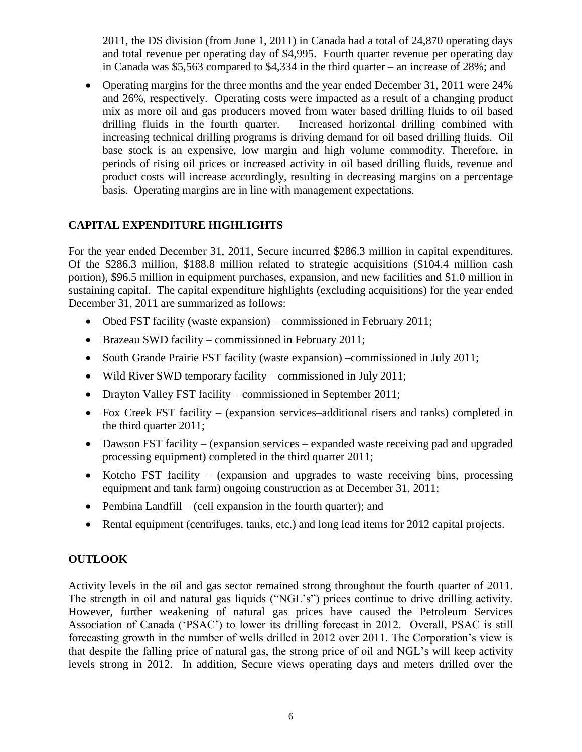2011, the DS division (from June 1, 2011) in Canada had a total of 24,870 operating days and total revenue per operating day of \$4,995. Fourth quarter revenue per operating day in Canada was \$5,563 compared to \$4,334 in the third quarter – an increase of 28%; and

 Operating margins for the three months and the year ended December 31, 2011 were 24% and 26%, respectively. Operating costs were impacted as a result of a changing product mix as more oil and gas producers moved from water based drilling fluids to oil based drilling fluids in the fourth quarter. Increased horizontal drilling combined with increasing technical drilling programs is driving demand for oil based drilling fluids. Oil base stock is an expensive, low margin and high volume commodity. Therefore, in periods of rising oil prices or increased activity in oil based drilling fluids, revenue and product costs will increase accordingly, resulting in decreasing margins on a percentage basis. Operating margins are in line with management expectations.

# **CAPITAL EXPENDITURE HIGHLIGHTS**

For the year ended December 31, 2011, Secure incurred \$286.3 million in capital expenditures. Of the \$286.3 million, \$188.8 million related to strategic acquisitions (\$104.4 million cash portion), \$96.5 million in equipment purchases, expansion, and new facilities and \$1.0 million in sustaining capital. The capital expenditure highlights (excluding acquisitions) for the year ended December 31, 2011 are summarized as follows:

- Obed FST facility (waste expansion) commissioned in February 2011;
- Brazeau SWD facility commissioned in February 2011;
- South Grande Prairie FST facility (waste expansion) –commissioned in July 2011;
- Wild River SWD temporary facility commissioned in July 2011;
- Drayton Valley FST facility commissioned in September 2011;
- Fox Creek FST facility (expansion services–additional risers and tanks) completed in the third quarter 2011;
- Dawson FST facility (expansion services expanded waste receiving pad and upgraded processing equipment) completed in the third quarter 2011;
- Kotcho FST facility (expansion and upgrades to waste receiving bins, processing equipment and tank farm) ongoing construction as at December 31, 2011;
- Pembina Landfill (cell expansion in the fourth quarter); and
- Rental equipment (centrifuges, tanks, etc.) and long lead items for 2012 capital projects.

# **OUTLOOK**

Activity levels in the oil and gas sector remained strong throughout the fourth quarter of 2011. The strength in oil and natural gas liquids ("NGL"s") prices continue to drive drilling activity. However, further weakening of natural gas prices have caused the Petroleum Services Association of Canada ("PSAC") to lower its drilling forecast in 2012. Overall, PSAC is still forecasting growth in the number of wells drilled in 2012 over 2011. The Corporation"s view is that despite the falling price of natural gas, the strong price of oil and NGL"s will keep activity levels strong in 2012. In addition, Secure views operating days and meters drilled over the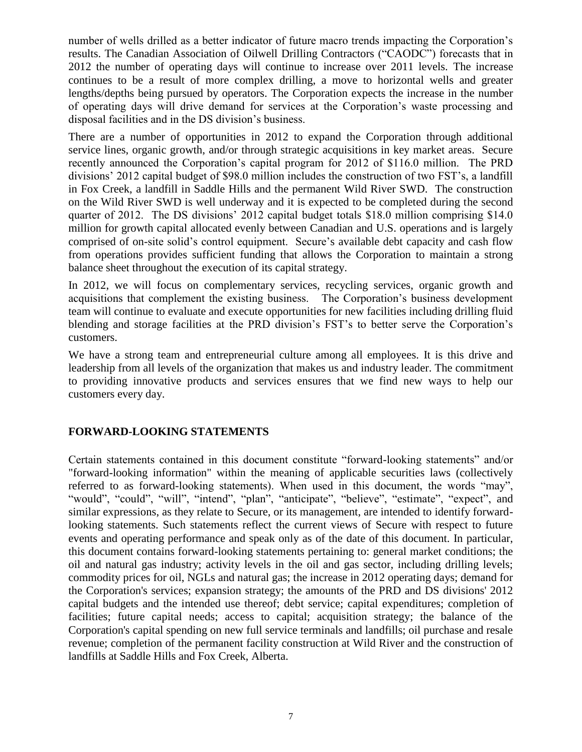number of wells drilled as a better indicator of future macro trends impacting the Corporation's results. The Canadian Association of Oilwell Drilling Contractors ("CAODC") forecasts that in 2012 the number of operating days will continue to increase over 2011 levels. The increase continues to be a result of more complex drilling, a move to horizontal wells and greater lengths/depths being pursued by operators. The Corporation expects the increase in the number of operating days will drive demand for services at the Corporation"s waste processing and disposal facilities and in the DS division"s business.

There are a number of opportunities in 2012 to expand the Corporation through additional service lines, organic growth, and/or through strategic acquisitions in key market areas. Secure recently announced the Corporation"s capital program for 2012 of \$116.0 million. The PRD divisions" 2012 capital budget of \$98.0 million includes the construction of two FST"s, a landfill in Fox Creek, a landfill in Saddle Hills and the permanent Wild River SWD. The construction on the Wild River SWD is well underway and it is expected to be completed during the second quarter of 2012. The DS divisions' 2012 capital budget totals \$18.0 million comprising \$14.0 million for growth capital allocated evenly between Canadian and U.S. operations and is largely comprised of on-site solid's control equipment. Secure's available debt capacity and cash flow from operations provides sufficient funding that allows the Corporation to maintain a strong balance sheet throughout the execution of its capital strategy.

In 2012, we will focus on complementary services, recycling services, organic growth and acquisitions that complement the existing business. The Corporation"s business development team will continue to evaluate and execute opportunities for new facilities including drilling fluid blending and storage facilities at the PRD division's FST's to better serve the Corporation's customers.

We have a strong team and entrepreneurial culture among all employees. It is this drive and leadership from all levels of the organization that makes us and industry leader. The commitment to providing innovative products and services ensures that we find new ways to help our customers every day.

## **FORWARD-LOOKING STATEMENTS**

Certain statements contained in this document constitute "forward-looking statements" and/or "forward-looking information" within the meaning of applicable securities laws (collectively referred to as forward-looking statements). When used in this document, the words "may", "would", "could", "will", "intend", "plan", "anticipate", "believe", "estimate", "expect", and similar expressions, as they relate to Secure, or its management, are intended to identify forwardlooking statements. Such statements reflect the current views of Secure with respect to future events and operating performance and speak only as of the date of this document. In particular, this document contains forward-looking statements pertaining to: general market conditions; the oil and natural gas industry; activity levels in the oil and gas sector, including drilling levels; commodity prices for oil, NGLs and natural gas; the increase in 2012 operating days; demand for the Corporation's services; expansion strategy; the amounts of the PRD and DS divisions' 2012 capital budgets and the intended use thereof; debt service; capital expenditures; completion of facilities; future capital needs; access to capital; acquisition strategy; the balance of the Corporation's capital spending on new full service terminals and landfills; oil purchase and resale revenue; completion of the permanent facility construction at Wild River and the construction of landfills at Saddle Hills and Fox Creek, Alberta.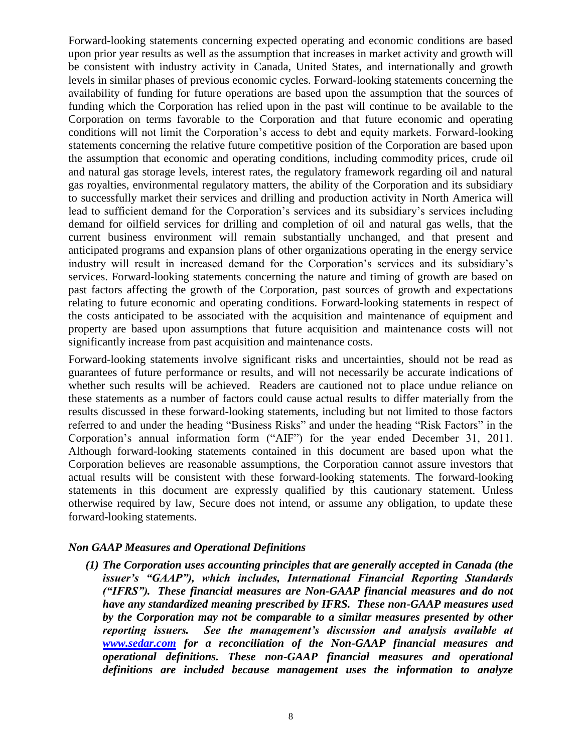Forward-looking statements concerning expected operating and economic conditions are based upon prior year results as well as the assumption that increases in market activity and growth will be consistent with industry activity in Canada, United States, and internationally and growth levels in similar phases of previous economic cycles. Forward-looking statements concerning the availability of funding for future operations are based upon the assumption that the sources of funding which the Corporation has relied upon in the past will continue to be available to the Corporation on terms favorable to the Corporation and that future economic and operating conditions will not limit the Corporation"s access to debt and equity markets. Forward-looking statements concerning the relative future competitive position of the Corporation are based upon the assumption that economic and operating conditions, including commodity prices, crude oil and natural gas storage levels, interest rates, the regulatory framework regarding oil and natural gas royalties, environmental regulatory matters, the ability of the Corporation and its subsidiary to successfully market their services and drilling and production activity in North America will lead to sufficient demand for the Corporation's services and its subsidiary's services including demand for oilfield services for drilling and completion of oil and natural gas wells, that the current business environment will remain substantially unchanged, and that present and anticipated programs and expansion plans of other organizations operating in the energy service industry will result in increased demand for the Corporation's services and its subsidiary's services. Forward-looking statements concerning the nature and timing of growth are based on past factors affecting the growth of the Corporation, past sources of growth and expectations relating to future economic and operating conditions. Forward-looking statements in respect of the costs anticipated to be associated with the acquisition and maintenance of equipment and property are based upon assumptions that future acquisition and maintenance costs will not significantly increase from past acquisition and maintenance costs.

Forward-looking statements involve significant risks and uncertainties, should not be read as guarantees of future performance or results, and will not necessarily be accurate indications of whether such results will be achieved. Readers are cautioned not to place undue reliance on these statements as a number of factors could cause actual results to differ materially from the results discussed in these forward-looking statements, including but not limited to those factors referred to and under the heading "Business Risks" and under the heading "Risk Factors" in the Corporation"s annual information form ("AIF") for the year ended December 31, 2011. Although forward-looking statements contained in this document are based upon what the Corporation believes are reasonable assumptions, the Corporation cannot assure investors that actual results will be consistent with these forward-looking statements. The forward-looking statements in this document are expressly qualified by this cautionary statement. Unless otherwise required by law, Secure does not intend, or assume any obligation, to update these forward-looking statements.

#### *Non GAAP Measures and Operational Definitions*

*(1) The Corporation uses accounting principles that are generally accepted in Canada (the issuer's "GAAP"), which includes, International Financial Reporting Standards ("IFRS"). These financial measures are Non-GAAP financial measures and do not have any standardized meaning prescribed by IFRS. These non-GAAP measures used by the Corporation may not be comparable to a similar measures presented by other reporting issuers. See the management's discussion and analysis available at [www.sedar.com](http://www.sedar.com/) for a reconciliation of the Non-GAAP financial measures and operational definitions. These non-GAAP financial measures and operational definitions are included because management uses the information to analyze*